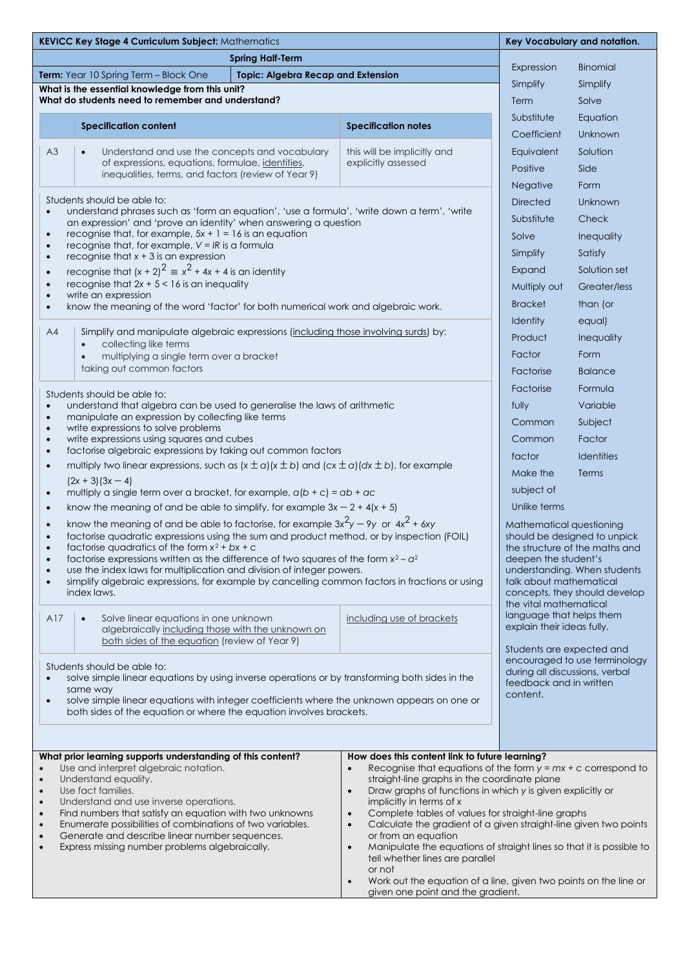| KEVICC Key Stage 4 Curriculum Subject: Mathematics                                                                                                                                                                                                                                                                                                                                                                                                                                                                                                                                   |                                                                                                                                                                                                                                                                                                                                                                                                                                                                                                                            |                                                                                                                                                                                                                |                                                                                                                                                                                                                                                                                                                                                                                                                                                                                                                                                                                                                                            |                                                                                  | Key Vocabulary and notation. |  |
|--------------------------------------------------------------------------------------------------------------------------------------------------------------------------------------------------------------------------------------------------------------------------------------------------------------------------------------------------------------------------------------------------------------------------------------------------------------------------------------------------------------------------------------------------------------------------------------|----------------------------------------------------------------------------------------------------------------------------------------------------------------------------------------------------------------------------------------------------------------------------------------------------------------------------------------------------------------------------------------------------------------------------------------------------------------------------------------------------------------------------|----------------------------------------------------------------------------------------------------------------------------------------------------------------------------------------------------------------|--------------------------------------------------------------------------------------------------------------------------------------------------------------------------------------------------------------------------------------------------------------------------------------------------------------------------------------------------------------------------------------------------------------------------------------------------------------------------------------------------------------------------------------------------------------------------------------------------------------------------------------------|----------------------------------------------------------------------------------|------------------------------|--|
| <b>Spring Half-Term</b>                                                                                                                                                                                                                                                                                                                                                                                                                                                                                                                                                              |                                                                                                                                                                                                                                                                                                                                                                                                                                                                                                                            |                                                                                                                                                                                                                |                                                                                                                                                                                                                                                                                                                                                                                                                                                                                                                                                                                                                                            |                                                                                  | <b>Binomial</b>              |  |
| Term: Year 10 Spring Term - Block One<br><b>Topic: Algebra Recap and Extension</b>                                                                                                                                                                                                                                                                                                                                                                                                                                                                                                   |                                                                                                                                                                                                                                                                                                                                                                                                                                                                                                                            |                                                                                                                                                                                                                |                                                                                                                                                                                                                                                                                                                                                                                                                                                                                                                                                                                                                                            | Expression<br>Simplify                                                           |                              |  |
| What is the essential knowledge from this unit?<br>What do students need to remember and understand?                                                                                                                                                                                                                                                                                                                                                                                                                                                                                 |                                                                                                                                                                                                                                                                                                                                                                                                                                                                                                                            |                                                                                                                                                                                                                |                                                                                                                                                                                                                                                                                                                                                                                                                                                                                                                                                                                                                                            |                                                                                  | Simplify<br>Solve            |  |
|                                                                                                                                                                                                                                                                                                                                                                                                                                                                                                                                                                                      |                                                                                                                                                                                                                                                                                                                                                                                                                                                                                                                            |                                                                                                                                                                                                                |                                                                                                                                                                                                                                                                                                                                                                                                                                                                                                                                                                                                                                            | Term<br>Substitute                                                               |                              |  |
|                                                                                                                                                                                                                                                                                                                                                                                                                                                                                                                                                                                      | <b>Specification content</b>                                                                                                                                                                                                                                                                                                                                                                                                                                                                                               |                                                                                                                                                                                                                | <b>Specification notes</b>                                                                                                                                                                                                                                                                                                                                                                                                                                                                                                                                                                                                                 | Coefficient                                                                      | Equation<br>Unknown          |  |
| A3                                                                                                                                                                                                                                                                                                                                                                                                                                                                                                                                                                                   | Understand and use the concepts and vocabulary                                                                                                                                                                                                                                                                                                                                                                                                                                                                             |                                                                                                                                                                                                                | this will be implicitly and                                                                                                                                                                                                                                                                                                                                                                                                                                                                                                                                                                                                                | Equivalent                                                                       | Solution                     |  |
|                                                                                                                                                                                                                                                                                                                                                                                                                                                                                                                                                                                      | of expressions, equations, formulae, identities,                                                                                                                                                                                                                                                                                                                                                                                                                                                                           |                                                                                                                                                                                                                | explicitly assessed                                                                                                                                                                                                                                                                                                                                                                                                                                                                                                                                                                                                                        | Positive                                                                         | Side                         |  |
| inequalities, terms, and factors (review of Year 9)                                                                                                                                                                                                                                                                                                                                                                                                                                                                                                                                  |                                                                                                                                                                                                                                                                                                                                                                                                                                                                                                                            |                                                                                                                                                                                                                |                                                                                                                                                                                                                                                                                                                                                                                                                                                                                                                                                                                                                                            | Negative                                                                         | Form                         |  |
| Students should be able to:                                                                                                                                                                                                                                                                                                                                                                                                                                                                                                                                                          |                                                                                                                                                                                                                                                                                                                                                                                                                                                                                                                            |                                                                                                                                                                                                                |                                                                                                                                                                                                                                                                                                                                                                                                                                                                                                                                                                                                                                            |                                                                                  | Unknown                      |  |
| understand phrases such as 'form an equation', 'use a formula', 'write down a term', 'write<br>$\bullet$                                                                                                                                                                                                                                                                                                                                                                                                                                                                             |                                                                                                                                                                                                                                                                                                                                                                                                                                                                                                                            |                                                                                                                                                                                                                |                                                                                                                                                                                                                                                                                                                                                                                                                                                                                                                                                                                                                                            |                                                                                  | Check                        |  |
| an expression' and 'prove an identity' when answering a question<br>recognise that, for example, $5x + 1 = 16$ is an equation<br>$\bullet$                                                                                                                                                                                                                                                                                                                                                                                                                                           |                                                                                                                                                                                                                                                                                                                                                                                                                                                                                                                            |                                                                                                                                                                                                                |                                                                                                                                                                                                                                                                                                                                                                                                                                                                                                                                                                                                                                            |                                                                                  | Inequality                   |  |
| recognise that, for example, $V = IR$ is a formula<br>$\bullet$                                                                                                                                                                                                                                                                                                                                                                                                                                                                                                                      |                                                                                                                                                                                                                                                                                                                                                                                                                                                                                                                            |                                                                                                                                                                                                                |                                                                                                                                                                                                                                                                                                                                                                                                                                                                                                                                                                                                                                            |                                                                                  | Satisfy                      |  |
| recognise that $x + 3$ is an expression<br>$\bullet$<br>recognise that $(x + 2)^2 \equiv x^2 + 4x + 4$ is an identity<br>$\bullet$                                                                                                                                                                                                                                                                                                                                                                                                                                                   |                                                                                                                                                                                                                                                                                                                                                                                                                                                                                                                            |                                                                                                                                                                                                                |                                                                                                                                                                                                                                                                                                                                                                                                                                                                                                                                                                                                                                            |                                                                                  | Solution set                 |  |
| recognise that $2x + 5 < 16$ is an inequality<br>$\bullet$                                                                                                                                                                                                                                                                                                                                                                                                                                                                                                                           |                                                                                                                                                                                                                                                                                                                                                                                                                                                                                                                            |                                                                                                                                                                                                                |                                                                                                                                                                                                                                                                                                                                                                                                                                                                                                                                                                                                                                            |                                                                                  | Greater/less                 |  |
| write an expression<br>know the meaning of the word 'factor' for both numerical work and algebraic work.<br>$\bullet$                                                                                                                                                                                                                                                                                                                                                                                                                                                                |                                                                                                                                                                                                                                                                                                                                                                                                                                                                                                                            |                                                                                                                                                                                                                |                                                                                                                                                                                                                                                                                                                                                                                                                                                                                                                                                                                                                                            |                                                                                  | than (or                     |  |
|                                                                                                                                                                                                                                                                                                                                                                                                                                                                                                                                                                                      |                                                                                                                                                                                                                                                                                                                                                                                                                                                                                                                            |                                                                                                                                                                                                                | Identity                                                                                                                                                                                                                                                                                                                                                                                                                                                                                                                                                                                                                                   | equal)                                                                           |                              |  |
| A4                                                                                                                                                                                                                                                                                                                                                                                                                                                                                                                                                                                   | Simplify and manipulate algebraic expressions (including those involving surds) by:                                                                                                                                                                                                                                                                                                                                                                                                                                        |                                                                                                                                                                                                                |                                                                                                                                                                                                                                                                                                                                                                                                                                                                                                                                                                                                                                            | Product                                                                          | Inequality                   |  |
|                                                                                                                                                                                                                                                                                                                                                                                                                                                                                                                                                                                      | collecting like terms<br>multiplying a single term over a bracket<br>$\bullet$                                                                                                                                                                                                                                                                                                                                                                                                                                             |                                                                                                                                                                                                                |                                                                                                                                                                                                                                                                                                                                                                                                                                                                                                                                                                                                                                            | Factor                                                                           | Form                         |  |
|                                                                                                                                                                                                                                                                                                                                                                                                                                                                                                                                                                                      | taking out common factors                                                                                                                                                                                                                                                                                                                                                                                                                                                                                                  |                                                                                                                                                                                                                |                                                                                                                                                                                                                                                                                                                                                                                                                                                                                                                                                                                                                                            | Factorise                                                                        | <b>Balance</b>               |  |
|                                                                                                                                                                                                                                                                                                                                                                                                                                                                                                                                                                                      |                                                                                                                                                                                                                                                                                                                                                                                                                                                                                                                            |                                                                                                                                                                                                                |                                                                                                                                                                                                                                                                                                                                                                                                                                                                                                                                                                                                                                            | Factorise                                                                        | Formula                      |  |
| Students should be able to:<br>understand that algebra can be used to generalise the laws of arithmetic<br>$\bullet$                                                                                                                                                                                                                                                                                                                                                                                                                                                                 |                                                                                                                                                                                                                                                                                                                                                                                                                                                                                                                            |                                                                                                                                                                                                                |                                                                                                                                                                                                                                                                                                                                                                                                                                                                                                                                                                                                                                            |                                                                                  | Variable                     |  |
| $\bullet$                                                                                                                                                                                                                                                                                                                                                                                                                                                                                                                                                                            | manipulate an expression by collecting like terms                                                                                                                                                                                                                                                                                                                                                                                                                                                                          |                                                                                                                                                                                                                |                                                                                                                                                                                                                                                                                                                                                                                                                                                                                                                                                                                                                                            | Common                                                                           | Subject                      |  |
| write expressions to solve problems<br>$\bullet$<br>write expressions using squares and cubes<br>$\bullet$                                                                                                                                                                                                                                                                                                                                                                                                                                                                           |                                                                                                                                                                                                                                                                                                                                                                                                                                                                                                                            |                                                                                                                                                                                                                |                                                                                                                                                                                                                                                                                                                                                                                                                                                                                                                                                                                                                                            | Common                                                                           | Factor                       |  |
| factorise algebraic expressions by taking out common factors<br>$\bullet$                                                                                                                                                                                                                                                                                                                                                                                                                                                                                                            |                                                                                                                                                                                                                                                                                                                                                                                                                                                                                                                            |                                                                                                                                                                                                                |                                                                                                                                                                                                                                                                                                                                                                                                                                                                                                                                                                                                                                            | factor                                                                           | Identities                   |  |
| multiply two linear expressions, such as $(x \pm a)(x \pm b)$ and $(cx \pm a)(dx \pm b)$ , for example<br>$\bullet$                                                                                                                                                                                                                                                                                                                                                                                                                                                                  |                                                                                                                                                                                                                                                                                                                                                                                                                                                                                                                            |                                                                                                                                                                                                                | Make the                                                                                                                                                                                                                                                                                                                                                                                                                                                                                                                                                                                                                                   | Terms                                                                            |                              |  |
| $(2x + 3)(3x - 4)$<br>multiply a single term over a bracket, for example, $a(b + c) = ab + ac$<br>$\bullet$                                                                                                                                                                                                                                                                                                                                                                                                                                                                          |                                                                                                                                                                                                                                                                                                                                                                                                                                                                                                                            |                                                                                                                                                                                                                |                                                                                                                                                                                                                                                                                                                                                                                                                                                                                                                                                                                                                                            | subject of                                                                       |                              |  |
| know the meaning of and be able to simplify, for example $3x - 2 + 4(x + 5)$<br>$\bullet$                                                                                                                                                                                                                                                                                                                                                                                                                                                                                            |                                                                                                                                                                                                                                                                                                                                                                                                                                                                                                                            |                                                                                                                                                                                                                | Unlike terms                                                                                                                                                                                                                                                                                                                                                                                                                                                                                                                                                                                                                               |                                                                                  |                              |  |
| $\bullet$<br>$\bullet$<br>$\bullet$<br>$\bullet$<br>$\bullet$                                                                                                                                                                                                                                                                                                                                                                                                                                                                                                                        | know the meaning of and be able to factorise, for example $3x^2y - 9y$ or $4x^2 + 6xy$<br>factorise quadratic expressions using the sum and product method, or by inspection (FOIL)<br>factorise avadratics of the form $x^2 + bx + c$<br>factorise expressions written as the difference of two squares of the form $x^2 - a^2$<br>use the index laws for multiplication and division of integer powers.<br>simplify algebraic expressions, for example by cancelling common factors in fractions or using<br>index laws. | Mathematical questioning<br>should be designed to unpick<br>the structure of the maths and<br>deepen the student's<br>understanding. When students<br>talk about mathematical<br>concepts, they should develop |                                                                                                                                                                                                                                                                                                                                                                                                                                                                                                                                                                                                                                            |                                                                                  |                              |  |
| A17                                                                                                                                                                                                                                                                                                                                                                                                                                                                                                                                                                                  | Solve linear equations in one unknown<br>$\bullet$<br>algebraically including those with the unknown on<br>both sides of the equation (review of Year 9)                                                                                                                                                                                                                                                                                                                                                                   |                                                                                                                                                                                                                | including use of brackets                                                                                                                                                                                                                                                                                                                                                                                                                                                                                                                                                                                                                  | the vital mathematical<br>language that helps them<br>explain their ideas fully. |                              |  |
| Students are expected and<br>encouraged to use terminology<br>Students should be able to:<br>during all discussions, verbal<br>solve simple linear equations by using inverse operations or by transforming both sides in the<br>$\bullet$<br>feedback and in written<br>same way<br>content.<br>solve simple linear equations with integer coefficients where the unknown appears on one or<br>$\bullet$<br>both sides of the equation or where the equation involves brackets.                                                                                                     |                                                                                                                                                                                                                                                                                                                                                                                                                                                                                                                            |                                                                                                                                                                                                                |                                                                                                                                                                                                                                                                                                                                                                                                                                                                                                                                                                                                                                            |                                                                                  |                              |  |
| What prior learning supports understanding of this content?<br>Use and interpret algebraic notation.<br>$\bullet$<br>Understand equality.<br>Use fact families.<br>$\bullet$<br>$\bullet$<br>Understand and use inverse operations.<br>$\bullet$<br>Find numbers that satisfy an equation with two unknowns<br>$\bullet$<br>$\bullet$<br>Enumerate possibilities of combinations of two variables.<br>$\bullet$<br>$\bullet$<br>Generate and describe linear number sequences.<br>$\bullet$<br>Express missing number problems algebraically.<br>$\bullet$<br>$\bullet$<br>$\bullet$ |                                                                                                                                                                                                                                                                                                                                                                                                                                                                                                                            |                                                                                                                                                                                                                | How does this content link to future learning?<br>Recognise that equations of the form $y = mx + c$ correspond to<br>straight-line graphs in the coordinate plane<br>Draw graphs of functions in which y is given explicitly or<br>implicitly in terms of x<br>Complete tables of values for straight-line graphs<br>Calculate the gradient of a given straight-line given two points<br>or from an equation<br>Manipulate the equations of straight lines so that it is possible to<br>tell whether lines are parallel<br>or not<br>Work out the equation of a line, given two points on the line or<br>given one point and the gradient. |                                                                                  |                              |  |